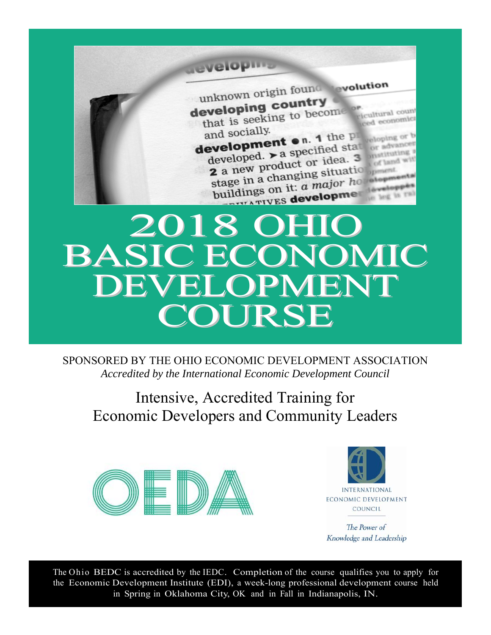unknown origin found svolution developing country

that is seeking to become ced economic and socially.

and socially.<br> **development** on. 1 the  $PI$ <br> **development** on. 1 the  $PI$ development on. 1 the product developed.  $\triangleright$  a specified a. 3<br>2 a new product or idea. 3 anstituting of land Example in a changing situation

# BASIC ECONOMIC DEVELOPMENT COURSE

SPONSORED BY THE OHIO ECONOMIC DEVELOPMENT ASSOCIATION *Accredited by the International Economic Development Council* 

Intensive, Accredited Training for Economic Developers and Community Leaders





The Power of Knowledge and Leadership

The Ohio BEDC is accredited by the IEDC. Completion of the course qualifies you to apply for the Economic Development Institute (EDI), a week-long professional development course held in Spring in Oklahoma City, OK and in Fall in Indianapolis, IN.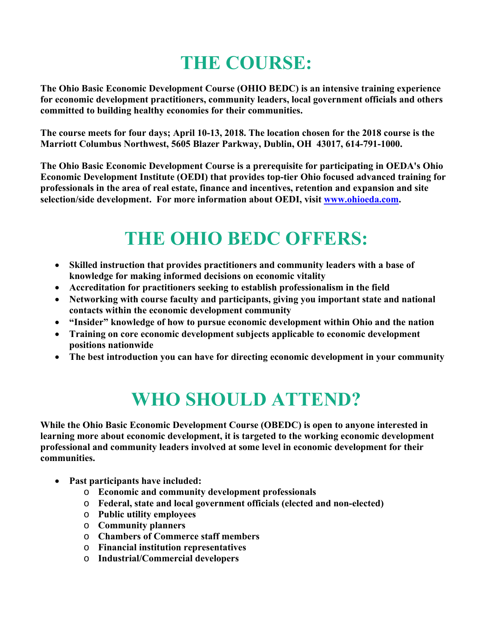# **THE COURSE:**

**The Ohio Basic Economic Development Course (OHIO BEDC) is an intensive training experience for economic development practitioners, community leaders, local government officials and others committed to building healthy economies for their communities.** 

**The course meets for four days; April 10-13, 2018. The location chosen for the 2018 course is the Marriott Columbus Northwest, 5605 Blazer Parkway, Dublin, OH 43017, 614-791-1000.** 

**The Ohio Basic Economic Development Course is a prerequisite for participating in OEDA's Ohio Economic Development Institute (OEDI) that provides top-tier Ohio focused advanced training for professionals in the area of real estate, finance and incentives, retention and expansion and site selection/side development. For more information about OEDI, visit www.ohioeda.com.** 

## **THE OHIO BEDC OFFERS:**

- **Skilled instruction that provides practitioners and community leaders with a base of knowledge for making informed decisions on economic vitality**
- **Accreditation for practitioners seeking to establish professionalism in the field**
- **Networking with course faculty and participants, giving you important state and national contacts within the economic development community**
- **"Insider" knowledge of how to pursue economic development within Ohio and the nation**
- **Training on core economic development subjects applicable to economic development positions nationwide**
- **The best introduction you can have for directing economic development in your community**

# **WHO SHOULD ATTEND?**

**While the Ohio Basic Economic Development Course (OBEDC) is open to anyone interested in learning more about economic development, it is targeted to the working economic development professional and community leaders involved at some level in economic development for their communities.** 

- **Past participants have included:** 
	- o **Economic and community development professionals**
	- o **Federal, state and local government officials (elected and non-elected)**
	- o **Public utility employees**
	- o **Community planners**
	- o **Chambers of Commerce staff members**
	- o **Financial institution representatives**
	- o **Industrial/Commercial developers**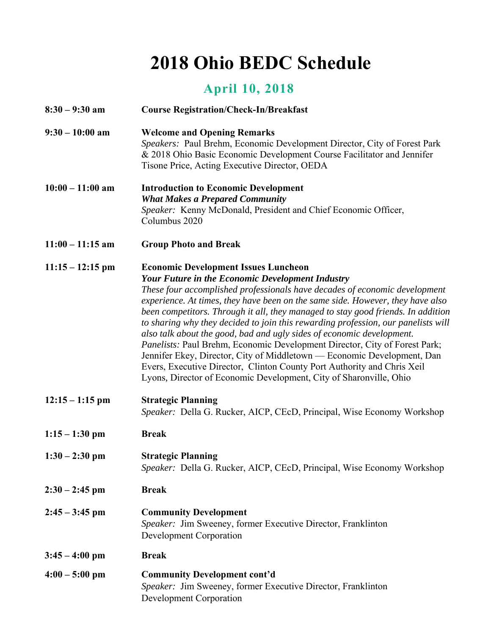# **2018 Ohio BEDC Schedule**

### **April 10, 2018**

| $8:30 - 9:30$ am   | <b>Course Registration/Check-In/Breakfast</b>                                                                                                                                                                                                                                                                                                                                                                                                                                                                                                                                                                                                                                                                                                                                                                                      |
|--------------------|------------------------------------------------------------------------------------------------------------------------------------------------------------------------------------------------------------------------------------------------------------------------------------------------------------------------------------------------------------------------------------------------------------------------------------------------------------------------------------------------------------------------------------------------------------------------------------------------------------------------------------------------------------------------------------------------------------------------------------------------------------------------------------------------------------------------------------|
| $9:30 - 10:00$ am  | <b>Welcome and Opening Remarks</b><br>Speakers: Paul Brehm, Economic Development Director, City of Forest Park<br>& 2018 Ohio Basic Economic Development Course Facilitator and Jennifer<br>Tisone Price, Acting Executive Director, OEDA                                                                                                                                                                                                                                                                                                                                                                                                                                                                                                                                                                                          |
| $10:00 - 11:00$ am | <b>Introduction to Economic Development</b><br><b>What Makes a Prepared Community</b><br>Speaker: Kenny McDonald, President and Chief Economic Officer,<br>Columbus 2020                                                                                                                                                                                                                                                                                                                                                                                                                                                                                                                                                                                                                                                           |
| $11:00 - 11:15$ am | <b>Group Photo and Break</b>                                                                                                                                                                                                                                                                                                                                                                                                                                                                                                                                                                                                                                                                                                                                                                                                       |
| $11:15 - 12:15$ pm | <b>Economic Development Issues Luncheon</b><br><b>Your Future in the Economic Development Industry</b><br>These four accomplished professionals have decades of economic development<br>experience. At times, they have been on the same side. However, they have also<br>been competitors. Through it all, they managed to stay good friends. In addition<br>to sharing why they decided to join this rewarding profession, our panelists will<br>also talk about the good, bad and ugly sides of economic development.<br>Panelists: Paul Brehm, Economic Development Director, City of Forest Park;<br>Jennifer Ekey, Director, City of Middletown — Economic Development, Dan<br>Evers, Executive Director, Clinton County Port Authority and Chris Xeil<br>Lyons, Director of Economic Development, City of Sharonville, Ohio |
| $12:15 - 1:15$ pm  | <b>Strategic Planning</b><br>Speaker: Della G. Rucker, AICP, CEcD, Principal, Wise Economy Workshop                                                                                                                                                                                                                                                                                                                                                                                                                                                                                                                                                                                                                                                                                                                                |
| $1:15 - 1:30$ pm   | <b>Break</b>                                                                                                                                                                                                                                                                                                                                                                                                                                                                                                                                                                                                                                                                                                                                                                                                                       |
| $1:30 - 2:30$ pm   | <b>Strategic Planning</b><br>Speaker: Della G. Rucker, AICP, CEcD, Principal, Wise Economy Workshop                                                                                                                                                                                                                                                                                                                                                                                                                                                                                                                                                                                                                                                                                                                                |
| $2:30 - 2:45$ pm   | <b>Break</b>                                                                                                                                                                                                                                                                                                                                                                                                                                                                                                                                                                                                                                                                                                                                                                                                                       |
| $2:45 - 3:45$ pm   | <b>Community Development</b><br>Speaker: Jim Sweeney, former Executive Director, Franklinton<br>Development Corporation                                                                                                                                                                                                                                                                                                                                                                                                                                                                                                                                                                                                                                                                                                            |
| $3:45 - 4:00$ pm   | <b>Break</b>                                                                                                                                                                                                                                                                                                                                                                                                                                                                                                                                                                                                                                                                                                                                                                                                                       |
| $4:00 - 5:00$ pm   | <b>Community Development cont'd</b><br>Speaker: Jim Sweeney, former Executive Director, Franklinton<br>Development Corporation                                                                                                                                                                                                                                                                                                                                                                                                                                                                                                                                                                                                                                                                                                     |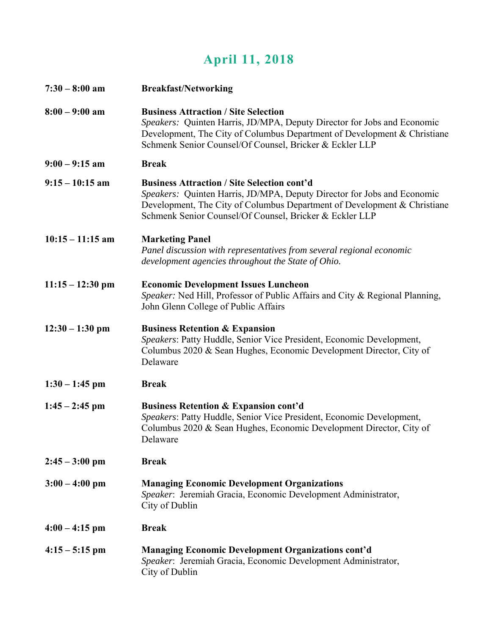### **April 11, 2018**

| $7:30 - 8:00$ am   | <b>Breakfast/Networking</b>                                                                                                                                                                                                                                          |
|--------------------|----------------------------------------------------------------------------------------------------------------------------------------------------------------------------------------------------------------------------------------------------------------------|
| $8:00 - 9:00$ am   | <b>Business Attraction / Site Selection</b><br>Speakers: Quinten Harris, JD/MPA, Deputy Director for Jobs and Economic<br>Development, The City of Columbus Department of Development & Christiane<br>Schmenk Senior Counsel/Of Counsel, Bricker & Eckler LLP        |
| $9:00 - 9:15$ am   | <b>Break</b>                                                                                                                                                                                                                                                         |
| $9:15 - 10:15$ am  | <b>Business Attraction / Site Selection cont'd</b><br>Speakers: Quinten Harris, JD/MPA, Deputy Director for Jobs and Economic<br>Development, The City of Columbus Department of Development & Christiane<br>Schmenk Senior Counsel/Of Counsel, Bricker & Eckler LLP |
| $10:15 - 11:15$ am | <b>Marketing Panel</b><br>Panel discussion with representatives from several regional economic<br>development agencies throughout the State of Ohio.                                                                                                                 |
| $11:15 - 12:30$ pm | <b>Economic Development Issues Luncheon</b><br>Speaker: Ned Hill, Professor of Public Affairs and City & Regional Planning,<br>John Glenn College of Public Affairs                                                                                                  |
| $12:30 - 1:30$ pm  | <b>Business Retention &amp; Expansion</b><br>Speakers: Patty Huddle, Senior Vice President, Economic Development,<br>Columbus 2020 & Sean Hughes, Economic Development Director, City of<br>Delaware                                                                 |
| $1:30 - 1:45$ pm   | <b>Break</b>                                                                                                                                                                                                                                                         |
| $1:45 - 2:45$ pm   | <b>Business Retention &amp; Expansion cont'd</b><br>Speakers: Patty Huddle, Senior Vice President, Economic Development,<br>Columbus 2020 & Sean Hughes, Economic Development Director, City of<br>Delaware                                                          |
| $2:45 - 3:00$ pm   | <b>Break</b>                                                                                                                                                                                                                                                         |
| $3:00 - 4:00$ pm   | <b>Managing Economic Development Organizations</b><br>Speaker: Jeremiah Gracia, Economic Development Administrator,<br>City of Dublin                                                                                                                                |
| $4:00 - 4:15$ pm   | <b>Break</b>                                                                                                                                                                                                                                                         |
| $4:15 - 5:15$ pm   | <b>Managing Economic Development Organizations cont'd</b><br>Speaker: Jeremiah Gracia, Economic Development Administrator,<br>City of Dublin                                                                                                                         |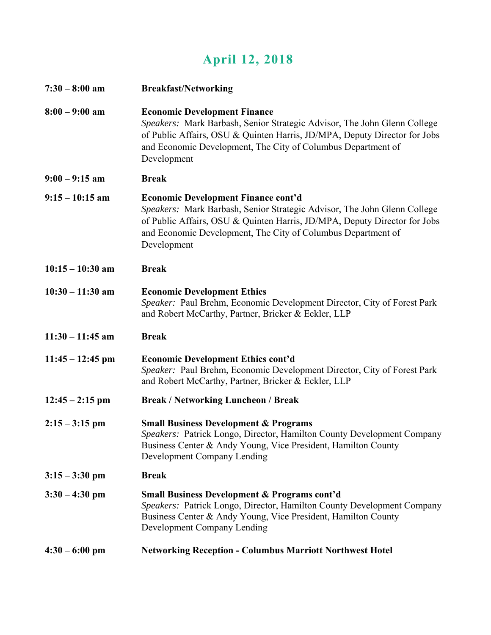### **April 12, 2018**

| $7:30 - 8:00$ am   | <b>Breakfast/Networking</b>                                                                                                                                                                                                                                                        |
|--------------------|------------------------------------------------------------------------------------------------------------------------------------------------------------------------------------------------------------------------------------------------------------------------------------|
| $8:00 - 9:00$ am   | <b>Economic Development Finance</b><br>Speakers: Mark Barbash, Senior Strategic Advisor, The John Glenn College<br>of Public Affairs, OSU & Quinten Harris, JD/MPA, Deputy Director for Jobs<br>and Economic Development, The City of Columbus Department of<br>Development        |
| $9:00 - 9:15$ am   | <b>Break</b>                                                                                                                                                                                                                                                                       |
| $9:15 - 10:15$ am  | <b>Economic Development Finance cont'd</b><br>Speakers: Mark Barbash, Senior Strategic Advisor, The John Glenn College<br>of Public Affairs, OSU & Quinten Harris, JD/MPA, Deputy Director for Jobs<br>and Economic Development, The City of Columbus Department of<br>Development |
| $10:15 - 10:30$ am | <b>Break</b>                                                                                                                                                                                                                                                                       |
| $10:30 - 11:30$ am | <b>Economic Development Ethics</b><br>Speaker: Paul Brehm, Economic Development Director, City of Forest Park<br>and Robert McCarthy, Partner, Bricker & Eckler, LLP                                                                                                               |
| $11:30 - 11:45$ am | <b>Break</b>                                                                                                                                                                                                                                                                       |
| $11:45 - 12:45$ pm | <b>Economic Development Ethics cont'd</b><br>Speaker: Paul Brehm, Economic Development Director, City of Forest Park<br>and Robert McCarthy, Partner, Bricker & Eckler, LLP                                                                                                        |
| $12:45 - 2:15$ pm  | <b>Break / Networking Luncheon / Break</b>                                                                                                                                                                                                                                         |
| $2:15 - 3:15$ pm   | <b>Small Business Development &amp; Programs</b><br>Speakers: Patrick Longo, Director, Hamilton County Development Company<br>Business Center & Andy Young, Vice President, Hamilton County<br>Development Company Lending                                                         |
| $3:15 - 3:30$ pm   | <b>Break</b>                                                                                                                                                                                                                                                                       |
| $3:30 - 4:30$ pm   | <b>Small Business Development &amp; Programs cont'd</b><br>Speakers: Patrick Longo, Director, Hamilton County Development Company<br>Business Center & Andy Young, Vice President, Hamilton County<br>Development Company Lending                                                  |
| $4:30 - 6:00$ pm   | <b>Networking Reception - Columbus Marriott Northwest Hotel</b>                                                                                                                                                                                                                    |